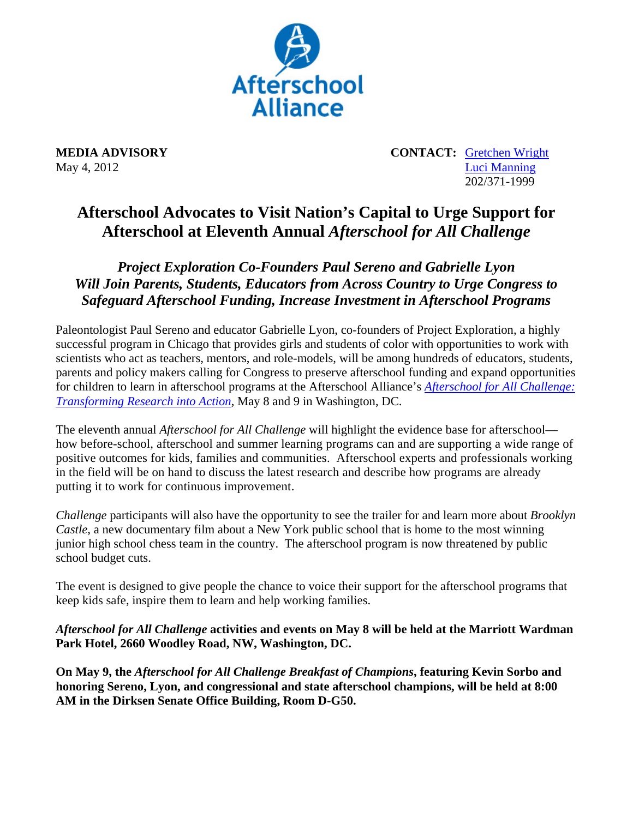

**MEDIA ADVISORY** CONTACT: Gretchen Wright May 4, 2012 Luci Manning 202/371-1999

## **Afterschool Advocates to Visit Nation's Capital to Urge Support for Afterschool at Eleventh Annual** *Afterschool for All Challenge*

*Project Exploration Co-Founders Paul Sereno and Gabrielle Lyon Will Join Parents, Students, Educators from Across Country to Urge Congress to Safeguard Afterschool Funding, Increase Investment in Afterschool Programs* 

Paleontologist Paul Sereno and educator Gabrielle Lyon, co-founders of Project Exploration, a highly successful program in Chicago that provides girls and students of color with opportunities to work with scientists who act as teachers, mentors, and role-models, will be among hundreds of educators, students, parents and policy makers calling for Congress to preserve afterschool funding and expand opportunities for children to learn in afterschool programs at the Afterschool Alliance's *Afterschool for All Challenge: Transforming Research into Action*, May 8 and 9 in Washington, DC.

The eleventh annual *Afterschool for All Challenge* will highlight the evidence base for afterschool how before-school, afterschool and summer learning programs can and are supporting a wide range of positive outcomes for kids, families and communities. Afterschool experts and professionals working in the field will be on hand to discuss the latest research and describe how programs are already putting it to work for continuous improvement.

*Challenge* participants will also have the opportunity to see the trailer for and learn more about *Brooklyn Castle*, a new documentary film about a New York public school that is home to the most winning junior high school chess team in the country. The afterschool program is now threatened by public school budget cuts.

The event is designed to give people the chance to voice their support for the afterschool programs that keep kids safe, inspire them to learn and help working families.

*Afterschool for All Challenge* **activities and events on May 8 will be held at the Marriott Wardman Park Hotel, 2660 Woodley Road, NW, Washington, DC.** 

**On May 9, the** *Afterschool for All Challenge Breakfast of Champions***, featuring Kevin Sorbo and honoring Sereno, Lyon, and congressional and state afterschool champions, will be held at 8:00 AM in the Dirksen Senate Office Building, Room D-G50.**